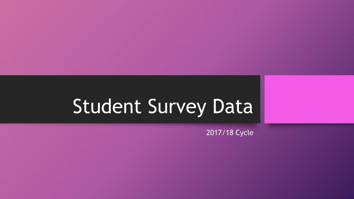# Student Survey Data

2017/18 Cycle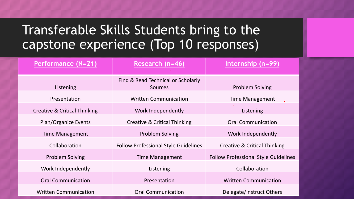## Transferable Skills Students bring to the capstone experience (Top 10 responses)

| Performance (N=21)           | Research (n=46)                                      | Internship (n=99)                           |  |
|------------------------------|------------------------------------------------------|---------------------------------------------|--|
| Listening                    | Find & Read Technical or Scholarly<br><b>Sources</b> | <b>Problem Solving</b>                      |  |
| Presentation                 | <b>Written Communication</b>                         | <b>Time Management</b>                      |  |
| Creative & Critical Thinking | Work Independently                                   | Listening                                   |  |
| <b>Plan/Organize Events</b>  | Creative & Critical Thinking                         | <b>Oral Communication</b>                   |  |
| <b>Time Management</b>       | <b>Problem Solving</b>                               | Work Independently                          |  |
| Collaboration                | <b>Follow Professional Style Guidelines</b>          | Creative & Critical Thinking                |  |
| <b>Problem Solving</b>       | <b>Time Management</b>                               | <b>Follow Professional Style Guidelines</b> |  |
| Work Independently           | Listening                                            | Collaboration                               |  |
| <b>Oral Communication</b>    | Presentation                                         | <b>Written Communication</b>                |  |
| <b>Written Communication</b> | <b>Oral Communication</b>                            | Delegate/Instruct Others                    |  |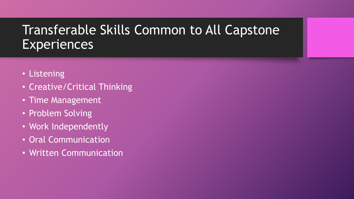# Transferable Skills Common to All Capstone **Experiences**

- Listening
- Creative/Critical Thinking
- Time Management
- Problem Solving
- Work Independently
- Oral Communication
- Written Communication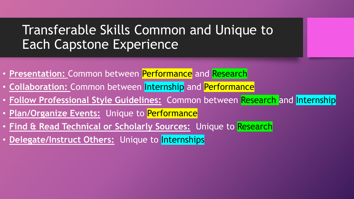## Transferable Skills Common and Unique to Each Capstone Experience

- **Presentation:** Common between Performance and Research
- **Collaboration:** Common between Internship and Performance
- **Follow Professional Style Guidelines:** Common between Research and Internship
- **Plan/Organize Events:** Unique to Performance
- **Find & Read Technical or Scholarly Sources:** Unique to Research
- Delegate/Instruct Others: Unique to Internships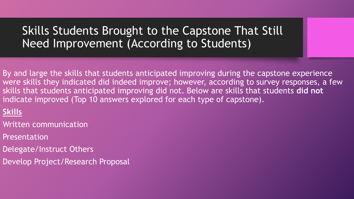## Skills Students Brought to the Capstone That Still Need Improvement (According to Students)

By and large the skills that students anticipated improving during the capstone experience were skills they indicated did indeed improve; however, according to survey responses, a few skills that students anticipated improving did not. Below are skills that students **did not**  indicate improved (Top 10 answers explored for each type of capstone).

## **Skills**

- Written communication
- Presentation
- Delegate/Instruct Others
- Develop Project/Research Proposal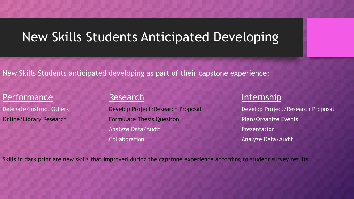## New Skills Students Anticipated Developing

New Skills Students anticipated developing as part of their capstone experience:

## Performance **Research** Research **Internship**

Online/Library Research **Formulate Thesis Question Plan/Organize Events** Analyze Data/Audit **Analyze Data/Audit** Presentation **Collaboration Collaboration Analyze Data/Audit** 

Delegate/Instruct Others **Develop Project/Research Proposal** Develop Project/Research Proposal

Skills in dark print are new skills that improved during the capstone experience according to student survey results.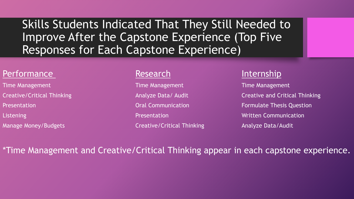Skills Students Indicated That They Still Needed to Improve After the Capstone Experience (Top Five Responses for Each Capstone Experience)

### Performance Research Research Internship

Time Management Time Management Time Management Presentation **Exercise State Communication** Oral Communication **Formulate Thesis Question** Listening **Exercise 2.1 The Second Presentation** Presentation **Communication Written Communication** 

Manage Money/Budgets **Creative/Critical Thinking Analyze Data/Audit** Creative/Critical Thinking

Creative/Critical Thinking **Creative/Critical Thinking** Analyze Data/ Audit **Creative and Critical Thinking** 

\*Time Management and Creative/Critical Thinking appear in each capstone experience.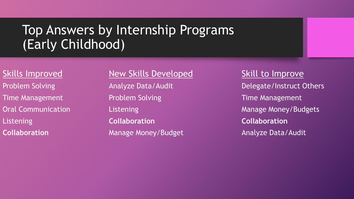# Top Answers by Internship Programs (Early Childhood)

## Skills Improved Mew Skills Developed Skill to Improve

Time Management **Example 20 Froblem Solving Time Management** Problem Solving Listening **Collaboration Collaboration Collaboration Collaboration Manage Money/Budget Analyze Data/Audit** 

Problem Solving **Analyze Data/Audit Delegate/Instruct Others** Oral Communication **Communication** Listening **Manage Money/Budgets**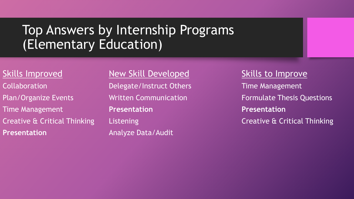# Top Answers by Internship Programs (Elementary Education)

Collaboration Delegate/Instruct Others Time Management Time Management **Presentation Presentation Presentation Manalyze Data/Audit** 

# Skills Improved Mew Skill Developed Skills to Improve

Plan/Organize Events **Metally Article Communication** Formulate Thesis Questions Creative & Critical Thinking Listening Listening Creative & Critical Thinking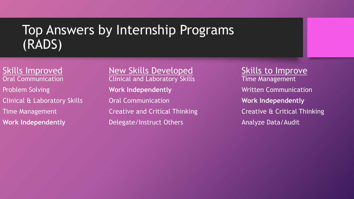# Top Answers by Internship Programs (RADS)

Skills Improved Mew Skills Developed Skills to Improve Oral Communication **Clinical and Laboratory Skills Time Management Problem Solving The Work Independently The Communication Communication Clinical & Laboratory Skills Communication Communication Work Independently** Time Management **Creative and Critical Thinking Creative & Critical Thinking Work Independently Communicate Audit Construct Others Analyze Data/Audit**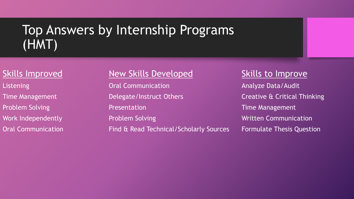# Top Answers by Internship Programs (HMT)

## Skills Improved Mew Skills Developed Skills to Improve

Listening **Calcommunication** Analyze Data/Audit Time Management **Solution Construct Communist Creative & Critical Thinking** Problem Solving **Presentation** Presentation **Problem Solving** Work Independently **Noting Communication** Problem Solving Number 2014 Meritten Communication Oral Communication Find & Read Technical/Scholarly Sources Formulate Thesis Question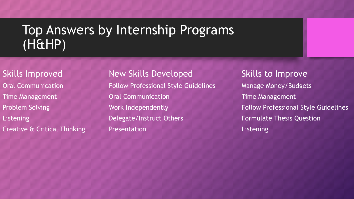# Top Answers by Internship Programs (H&HP)

## Skills Improved Mew Skills Developed Skills to Improve

Oral Communication **Follow Professional Style Guidelines** Manage Money/Budgets Time Management **Time Management** Oral Communication **Time Management** Listening **Exercise Section** Delegate/Instruct Others **Exercise Section** Formulate Thesis Question Creative & Critical Thinking **Presentation Listening** Listening

Problem Solving **Exercise Solution Control Control** Work Independently **Follow Professional Style Guidelines**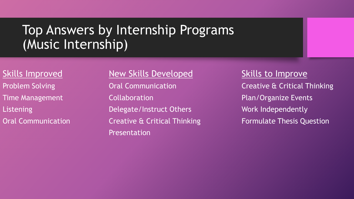# Top Answers by Internship Programs (Music Internship)

## Skills Improved Mew Skills Developed Skills to Improve

Time Management **Collaboration** Collaboration **Plan/Organize Events** Listening **Example 20 Example 20 Example 20 Example 20 Example 20 Example 20 Example 20 Example 20 Example 20 Example 20 Example 20 Example 20 Example 20 Example 20 Example 20 Example 20 Example 20 Example 20 Example 20 Ex** Oral Communication **Creative & Critical Thinking Formulate Thesis Question** Presentation

Problem Solving **Cancel Accommunication** Creative & Critical Thinking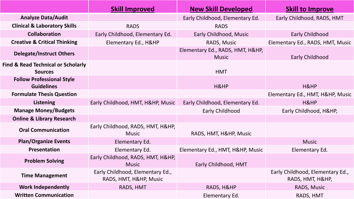|                                                                 | <b>Skill Improved</b>                                      | <b>New Skill Developed</b>                       | <b>Skill to Improve</b>                              |
|-----------------------------------------------------------------|------------------------------------------------------------|--------------------------------------------------|------------------------------------------------------|
| <b>Analyze Data/Audit</b>                                       |                                                            | Early Childhood, Elementary Ed.                  | Early Childhood, RADS, HMT                           |
| <b>Clinical &amp; Laboratory Skills</b>                         | <b>RADS</b>                                                | <b>RADS</b>                                      |                                                      |
| <b>Collaboration</b>                                            | Early Childhood, Elementary Ed.                            | Early Childhood, Music                           | Early Childhood                                      |
| <b>Creative &amp; Critical Thinking</b>                         | Elementary Ed., H&HP                                       | RADS, Music                                      | Elementary Ed., RADS, HMT, Music                     |
| <b>Delegate/Instruct Others</b>                                 |                                                            | Elementary Ed., RADS, HMT, H&HP,<br><b>Music</b> | <b>Early Childhood</b>                               |
| <b>Find &amp; Read Technical or Scholarly</b><br><b>Sources</b> |                                                            | <b>HMT</b>                                       |                                                      |
| <b>Follow Professional Style</b><br><b>Guidelines</b>           |                                                            | H&HP                                             | H&HP                                                 |
| <b>Formulate Thesis Question</b>                                |                                                            |                                                  | Elementary Ed., HMT, H&HP, Music                     |
| <b>Listening</b>                                                | Early Childhood, HMT, H&HP, Music                          | Early Childhood, Elementary Ed.                  | H&HP                                                 |
| <b>Manage Money/Budgets</b>                                     |                                                            | <b>Early Childhood</b>                           | Early Childhood, H&HP,                               |
| <b>Online &amp; Library Research</b>                            |                                                            |                                                  |                                                      |
| <b>Oral Communication</b>                                       | Early Childhood, RADS, HMT, H&HP,<br><b>Music</b>          | RADS, HMT, H&HP, Music                           |                                                      |
| <b>Plan/Organize Events</b>                                     | Elementary Ed.                                             |                                                  | <b>Music</b>                                         |
| Presentation                                                    | Elementary Ed.                                             | Elementary Ed., HMT, H&HP, Music                 | Elementary Ed.                                       |
| <b>Problem Solving</b>                                          | Early Childhood, RADS, HMT, H&HP,<br><b>Music</b>          | Early Childhood, HMT                             |                                                      |
| <b>Time Management</b>                                          | Early Childhood, Elementary Ed.,<br>RADS, HMT, H&HP, Music |                                                  | Early Childhood, Elementary Ed.,<br>RADS, HMT, H&HP, |
| <b>Work Independently</b>                                       | RADS, HMT                                                  | RADS, H&HP                                       | RADS, Music                                          |
| <b>Written Communication</b>                                    |                                                            | Elementary Ed.                                   | RADS, HMT                                            |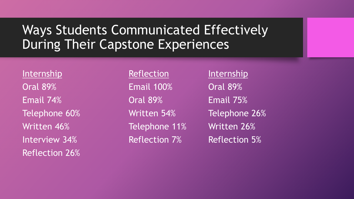# Ways Students Communicated Effectively During Their Capstone Experiences

Internship **Reflection** Internship Oral 89% Email 100% Oral 89% Email 74% Oral 89% Email 75% Written 46% **Telephone 11%** Written 26% Interview 34% **Reflection 7%** Reflection 5% Reflection 26%

Telephone 60% Written 54% Telephone 26%